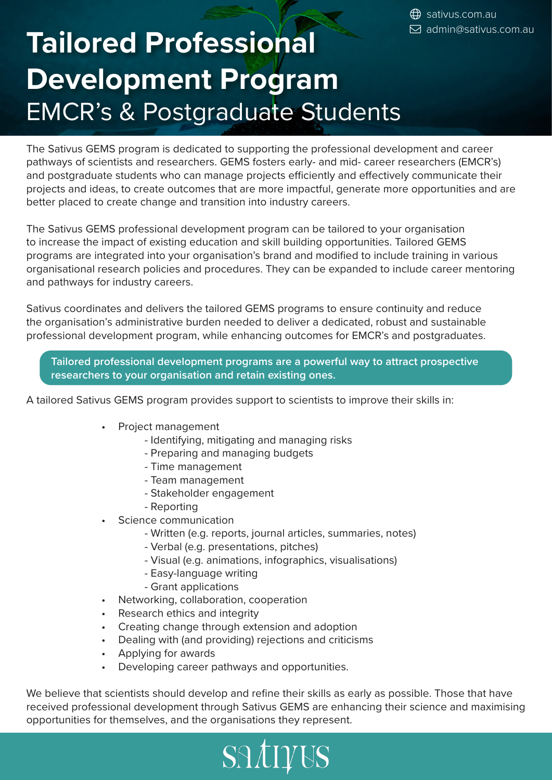# **Tailored Professional Development Program** EMCR's & Postgraduate Students

The Sativus GEMS program is dedicated to supporting the professional development and career pathways of scientists and researchers. GEMS fosters early- and mid- career researchers (EMCR's) and postgraduate students who can manage projects efficiently and effectively communicate their projects and ideas, to create outcomes that are more impactful, generate more opportunities and are better placed to create change and transition into industry careers.

The Sativus GEMS professional development program can be tailored to your organisation to increase the impact of existing education and skill building opportunities. Tailored GEMS programs are integrated into your organisation's brand and modified to include training in various organisational research policies and procedures. They can be expanded to include career mentoring and pathways for industry careers.

Sativus coordinates and delivers the tailored GEMS programs to ensure continuity and reduce the organisation's administrative burden needed to deliver a dedicated, robust and sustainable professional development program, while enhancing outcomes for EMCR's and postgraduates.

**Tailored professional development programs are a powerful way to attract prospective researchers to your organisation and retain existing ones.** 

A tailored Sativus GEMS program provides support to scientists to improve their skills in:

- Project management
	- Identifying, mitigating and managing risks
	- Preparing and managing budgets
	- Time management
	- Team management
	- Stakeholder engagement
	- Reporting
- Science communication
	- Written (e.g. reports, journal articles, summaries, notes)
	- Verbal (e.g. presentations, pitches)
	- Visual (e.g. animations, infographics, visualisations)
	- Easy-language writing
	- Grant applications
- Networking, collaboration, cooperation
- Research ethics and integrity
- Creating change through extension and adoption
- Dealing with (and providing) rejections and criticisms
- Applying for awards
- Developing career pathways and opportunities.

We believe that scientists should develop and refine their skills as early as possible. Those that have received professional development through Sativus GEMS are enhancing their science and maximising opportunities for themselves, and the organisations they represent.